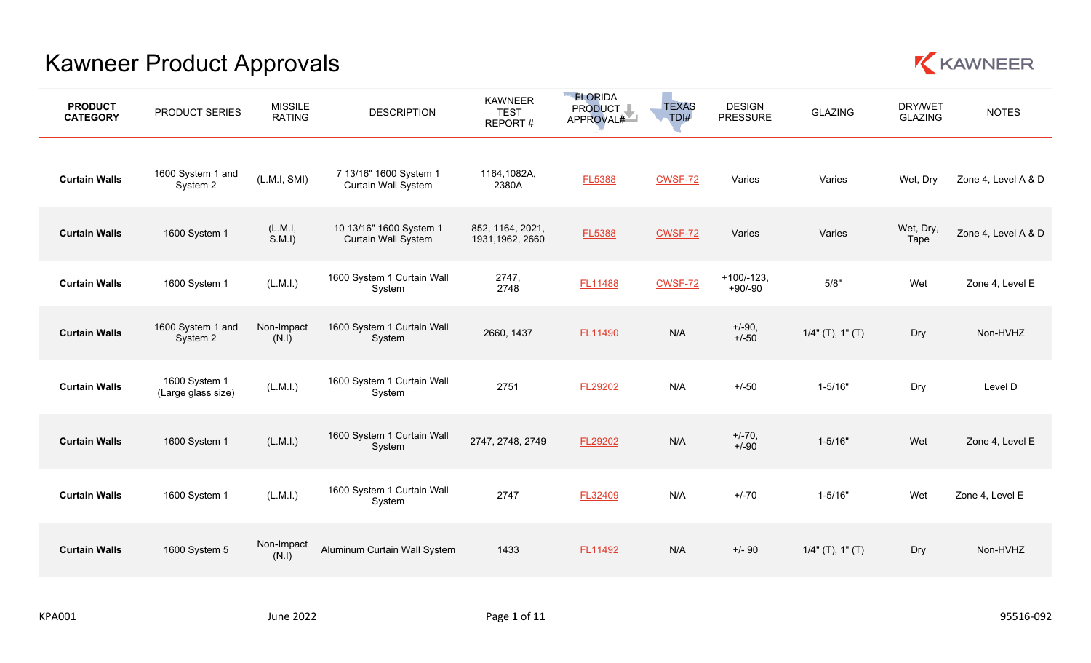

| <b>PRODUCT</b><br><b>CATEGORY</b> | PRODUCT SERIES                      | <b>MISSILE</b><br><b>RATING</b> | <b>DESCRIPTION</b>                                    | <b>KAWNEER</b><br><b>TEST</b><br>REPORT# | <b>FLORIDA</b><br>PRODUCT I<br>APPROVAL# | <b>TEXAS</b><br>TDI# | <b>DESIGN</b><br><b>PRESSURE</b> | <b>GLAZING</b>      | DRY/WET<br><b>GLAZING</b> | <b>NOTES</b>        |
|-----------------------------------|-------------------------------------|---------------------------------|-------------------------------------------------------|------------------------------------------|------------------------------------------|----------------------|----------------------------------|---------------------|---------------------------|---------------------|
| <b>Curtain Walls</b>              | 1600 System 1 and<br>System 2       | (L.M.I, SMI)                    | 7 13/16" 1600 System 1<br><b>Curtain Wall System</b>  | 1164,1082A,<br>2380A                     | <b>FL5388</b>                            | <b>CWSF-72</b>       | Varies                           | Varies              | Wet, Dry                  | Zone 4, Level A & D |
| <b>Curtain Walls</b>              | 1600 System 1                       | (L.M.1,<br>S.M.I                | 10 13/16" 1600 System 1<br><b>Curtain Wall System</b> | 852, 1164, 2021,<br>1931, 1962, 2660     | <b>FL5388</b>                            | <b>CWSF-72</b>       | Varies                           | Varies              | Wet, Dry,<br>Tape         | Zone 4, Level A & D |
| <b>Curtain Walls</b>              | 1600 System 1                       | (L.M.I.)                        | 1600 System 1 Curtain Wall<br>System                  | 2747,<br>2748                            | FL11488                                  | CWSF-72              | $+100/-123,$<br>$+90/ -90$       | 5/8"                | Wet                       | Zone 4, Level E     |
| <b>Curtain Walls</b>              | 1600 System 1 and<br>System 2       | Non-Impact<br>(N.1)             | 1600 System 1 Curtain Wall<br>System                  | 2660, 1437                               | FL11490                                  | N/A                  | $+/-90,$<br>$+/-50$              | $1/4$ " (T), 1" (T) | Dry                       | Non-HVHZ            |
| <b>Curtain Walls</b>              | 1600 System 1<br>(Large glass size) | (L.M.I.)                        | 1600 System 1 Curtain Wall<br>System                  | 2751                                     | FL29202                                  | N/A                  | $+/-50$                          | $1 - 5/16"$         | Dry                       | Level D             |
| <b>Curtain Walls</b>              | 1600 System 1                       | (L.M.l.)                        | 1600 System 1 Curtain Wall<br>System                  | 2747, 2748, 2749                         | FL29202                                  | N/A                  | $+/-70,$<br>$+/-90$              | $1 - 5/16"$         | Wet                       | Zone 4, Level E     |
| <b>Curtain Walls</b>              | 1600 System 1                       | (L.M.I.)                        | 1600 System 1 Curtain Wall<br>System                  | 2747                                     | FL32409                                  | N/A                  | $+/-70$                          | $1 - 5/16"$         | Wet                       | Zone 4, Level E     |
| <b>Curtain Walls</b>              | 1600 System 5                       | Non-Impact<br>(N.1)             | Aluminum Curtain Wall System                          | 1433                                     | FL11492                                  | N/A                  | $+/-90$                          | $1/4$ " (T), 1" (T) | Dry                       | Non-HVHZ            |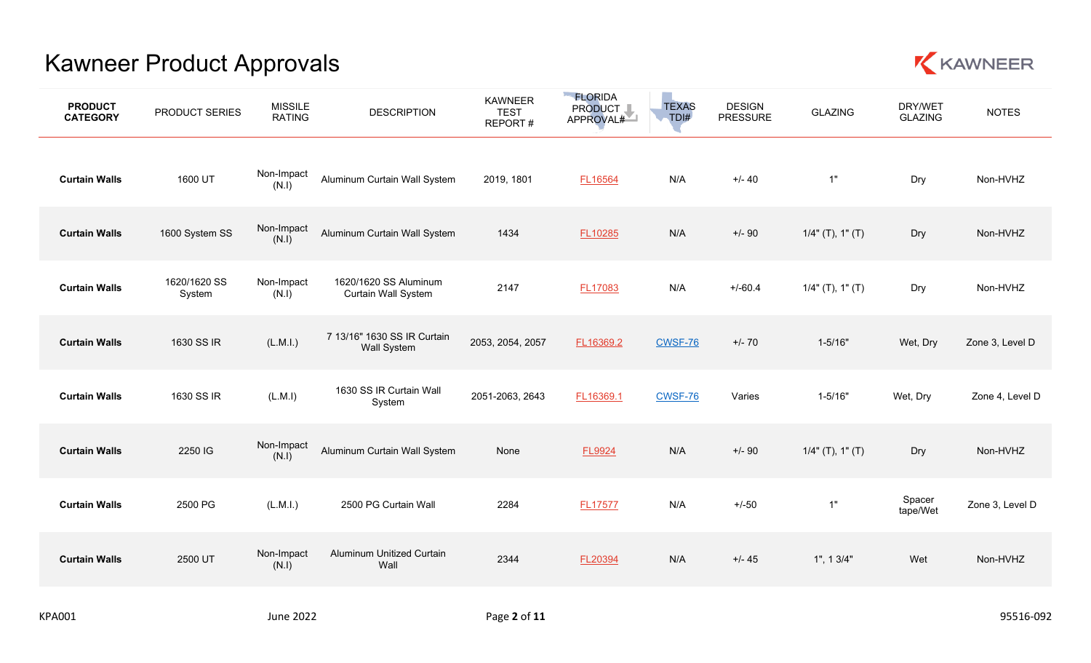

| <b>PRODUCT</b><br><b>CATEGORY</b> | PRODUCT SERIES         | <b>MISSILE</b><br><b>RATING</b> | <b>DESCRIPTION</b>                           | <b>KAWNEER</b><br><b>TEST</b><br>REPORT# | <b>ELORIDA</b><br>PRODUCT I<br>APPROVAL# | <b>TEXAS</b><br>TDI# | <b>DESIGN</b><br><b>PRESSURE</b> | <b>GLAZING</b>         | DRY/WET<br><b>GLAZING</b> | <b>NOTES</b>    |
|-----------------------------------|------------------------|---------------------------------|----------------------------------------------|------------------------------------------|------------------------------------------|----------------------|----------------------------------|------------------------|---------------------------|-----------------|
| <b>Curtain Walls</b>              | 1600 UT                | Non-Impact<br>(N.1)             | Aluminum Curtain Wall System                 | 2019, 1801                               | FL16564                                  | N/A                  | $+/- 40$                         | 1"                     | Dry                       | Non-HVHZ        |
| <b>Curtain Walls</b>              | 1600 System SS         | Non-Impact<br>(N.I)             | Aluminum Curtain Wall System                 | 1434                                     | FL10285                                  | N/A                  | $+/-90$                          | $1/4$ " (T), $1$ " (T) | Dry                       | Non-HVHZ        |
| <b>Curtain Walls</b>              | 1620/1620 SS<br>System | Non-Impact<br>(N.1)             | 1620/1620 SS Aluminum<br>Curtain Wall System | 2147                                     | <b>FL17083</b>                           | N/A                  | $+/-60.4$                        | $1/4$ " (T), 1" (T)    | Dry                       | Non-HVHZ        |
| <b>Curtain Walls</b>              | 1630 SS IR             | (L.M.1.)                        | 7 13/16" 1630 SS IR Curtain<br>Wall System   | 2053, 2054, 2057                         | FL16369.2                                | CWSF-76              | $+/- 70$                         | $1 - 5/16"$            | Wet, Dry                  | Zone 3, Level D |
| <b>Curtain Walls</b>              | 1630 SS IR             | (L.M.1)                         | 1630 SS IR Curtain Wall<br>System            | 2051-2063, 2643                          | FL16369.1                                | CWSF-76              | Varies                           | $1 - 5/16"$            | Wet, Dry                  | Zone 4, Level D |
| <b>Curtain Walls</b>              | 2250 IG                | Non-Impact<br>(N.1)             | Aluminum Curtain Wall System                 | None                                     | FL9924                                   | N/A                  | $+/-90$                          | $1/4$ " (T), 1" (T)    | Dry                       | Non-HVHZ        |
| <b>Curtain Walls</b>              | 2500 PG                | (L.M.1.)                        | 2500 PG Curtain Wall                         | 2284                                     | FL17577                                  | N/A                  | $+/-50$                          | 1"                     | Spacer<br>tape/Wet        | Zone 3, Level D |
| <b>Curtain Walls</b>              | 2500 UT                | Non-Impact<br>(N.1)             | Aluminum Unitized Curtain<br>Wall            | 2344                                     | FL20394                                  | N/A                  | $+/- 45$                         | 1", 13/4"              | Wet                       | Non-HVHZ        |
|                                   |                        |                                 |                                              |                                          |                                          |                      |                                  |                        |                           |                 |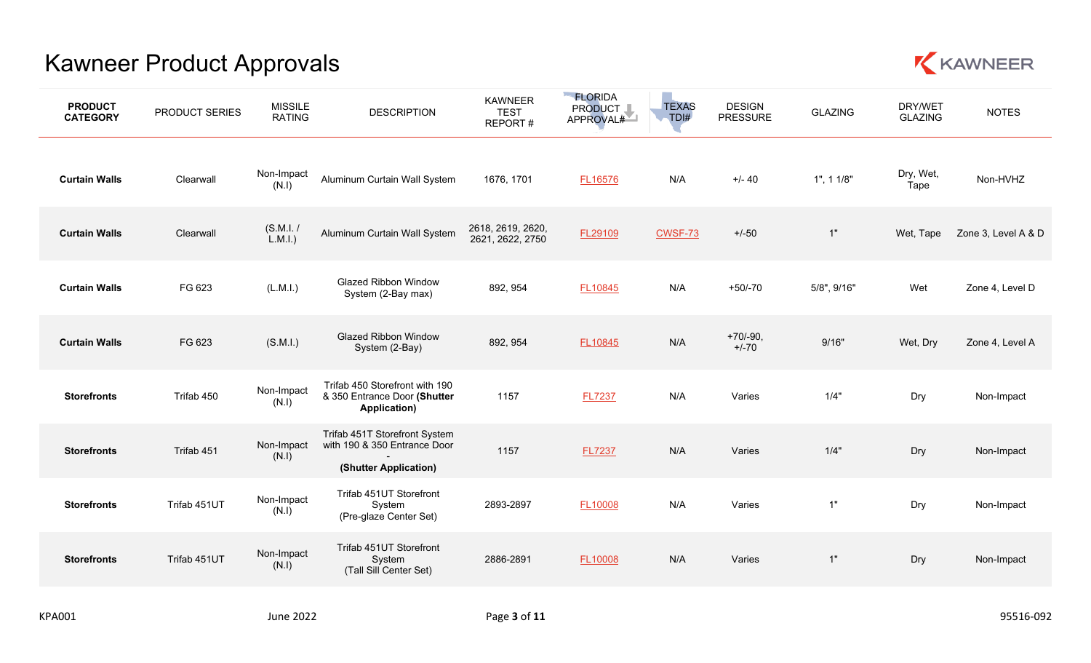

| <b>PRODUCT</b><br><b>CATEGORY</b> | PRODUCT SERIES | <b>MISSILE</b><br><b>RATING</b> | <b>DESCRIPTION</b>                                                                     | <b>KAWNEER</b><br><b>TEST</b><br>REPORT# | <b>FLORIDA</b><br>PRODUCT I<br>APPROVAL# | <b>TEXAS</b><br>TDI# | <b>DESIGN</b><br><b>PRESSURE</b> | <b>GLAZING</b> | DRY/WET<br><b>GLAZING</b> | <b>NOTES</b>        |
|-----------------------------------|----------------|---------------------------------|----------------------------------------------------------------------------------------|------------------------------------------|------------------------------------------|----------------------|----------------------------------|----------------|---------------------------|---------------------|
| <b>Curtain Walls</b>              | Clearwall      | Non-Impact<br>(N.1)             | Aluminum Curtain Wall System                                                           | 1676, 1701                               | <b>FL16576</b>                           | N/A                  | $+/- 40$                         | 1", 11/8"      | Dry, Wet,<br>Tape         | Non-HVHZ            |
| <b>Curtain Walls</b>              | Clearwall      | (S.M.I. /<br>L.M.l.)            | Aluminum Curtain Wall System                                                           | 2618, 2619, 2620,<br>2621, 2622, 2750    | FL29109                                  | <b>CWSF-73</b>       | $+/-50$                          | 1"             | Wet, Tape                 | Zone 3, Level A & D |
| <b>Curtain Walls</b>              | FG 623         | (L.M.1.)                        | <b>Glazed Ribbon Window</b><br>System (2-Bay max)                                      | 892, 954                                 | FL10845                                  | N/A                  | $+50/-70$                        | 5/8", 9/16"    | Wet                       | Zone 4, Level D     |
| <b>Curtain Walls</b>              | FG 623         | (S.M.l.)                        | <b>Glazed Ribbon Window</b><br>System (2-Bay)                                          | 892, 954                                 | FL10845                                  | N/A                  | $+70/-90,$<br>$+/-70$            | 9/16"          | Wet, Dry                  | Zone 4, Level A     |
| <b>Storefronts</b>                | Trifab 450     | Non-Impact<br>(N.1)             | Trifab 450 Storefront with 190<br>& 350 Entrance Door (Shutter<br>Application)         | 1157                                     | <b>FL7237</b>                            | N/A                  | Varies                           | 1/4"           | Dry                       | Non-Impact          |
| <b>Storefronts</b>                | Trifab 451     | Non-Impact<br>(N.1)             | Trifab 451T Storefront System<br>with 190 & 350 Entrance Door<br>(Shutter Application) | 1157                                     | <b>FL7237</b>                            | N/A                  | Varies                           | 1/4"           | Dry                       | Non-Impact          |
| <b>Storefronts</b>                | Trifab 451UT   | Non-Impact<br>(N.1)             | Trifab 451UT Storefront<br>System<br>(Pre-glaze Center Set)                            | 2893-2897                                | FL10008                                  | N/A                  | Varies                           | 1"             | Dry                       | Non-Impact          |
| <b>Storefronts</b>                | Trifab 451UT   | Non-Impact<br>(N.1)             | Trifab 451UT Storefront<br>System<br>(Tall Sill Center Set)                            | 2886-2891                                | FL10008                                  | N/A                  | Varies                           | 1"             | Dry                       | Non-Impact          |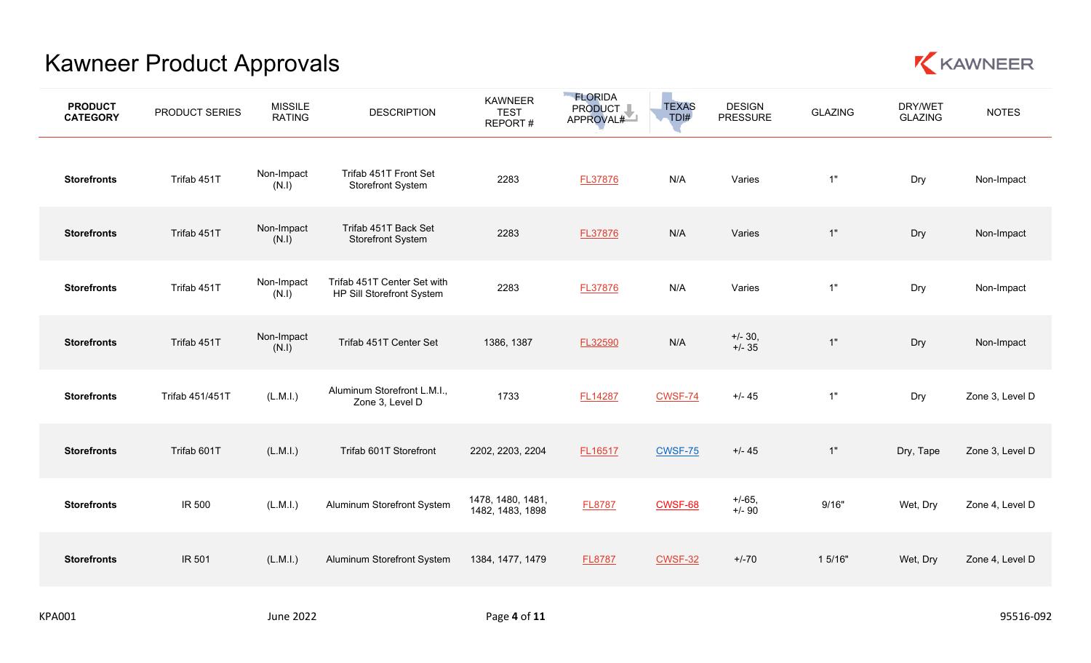

| <b>PRODUCT</b><br><b>CATEGORY</b> | PRODUCT SERIES  | <b>MISSILE</b><br><b>RATING</b> | <b>DESCRIPTION</b>                                       | <b>KAWNEER</b><br><b>TEST</b><br>REPORT# | <b>FLORIDA</b><br>PRODUCT I<br>APPROVAL# | <b>TEXAS</b><br>TDI# | <b>DESIGN</b><br><b>PRESSURE</b> | <b>GLAZING</b> | DRY/WET<br><b>GLAZING</b> | <b>NOTES</b>    |
|-----------------------------------|-----------------|---------------------------------|----------------------------------------------------------|------------------------------------------|------------------------------------------|----------------------|----------------------------------|----------------|---------------------------|-----------------|
| <b>Storefronts</b>                | Trifab 451T     | Non-Impact<br>(N.1)             | Trifab 451T Front Set<br><b>Storefront System</b>        | 2283                                     | <b>FL37876</b>                           | N/A                  | Varies                           | 1"             | Dry                       | Non-Impact      |
| <b>Storefronts</b>                | Trifab 451T     | Non-Impact<br>(N.I)             | Trifab 451T Back Set<br><b>Storefront System</b>         | 2283                                     | FL37876                                  | N/A                  | Varies                           | $1"$           | Dry                       | Non-Impact      |
| <b>Storefronts</b>                | Trifab 451T     | Non-Impact<br>(N.I)             | Trifab 451T Center Set with<br>HP Sill Storefront System | 2283                                     | <b>FL37876</b>                           | N/A                  | Varies                           | 1"             | Dry                       | Non-Impact      |
| <b>Storefronts</b>                | Trifab 451T     | Non-Impact<br>(N.I)             | Trifab 451T Center Set                                   | 1386, 1387                               | FL32590                                  | N/A                  | $+/- 30,$<br>$+/- 35$            | 1"             | Dry                       | Non-Impact      |
| <b>Storefronts</b>                | Trifab 451/451T | (L.M.l.)                        | Aluminum Storefront L.M.I.,<br>Zone 3, Level D           | 1733                                     | <b>FL14287</b>                           | CWSF-74              | $+/- 45$                         | 1"             | Dry                       | Zone 3, Level D |
| <b>Storefronts</b>                | Trifab 601T     | (L.M.1.)                        | Trifab 601T Storefront                                   | 2202, 2203, 2204                         | FL16517                                  | CWSF-75              | $+/- 45$                         | 1"             | Dry, Tape                 | Zone 3, Level D |
| <b>Storefronts</b>                | IR 500          | (L.M.1.)                        | Aluminum Storefront System                               | 1478, 1480, 1481,<br>1482, 1483, 1898    | <b>FL8787</b>                            | CWSF-68              | $+/-65,$<br>$+/-90$              | 9/16"          | Wet, Dry                  | Zone 4, Level D |
| <b>Storefronts</b>                | IR 501          | (L.M.1.)                        | Aluminum Storefront System                               | 1384, 1477, 1479                         | <b>FL8787</b>                            | <b>CWSF-32</b>       | $+/-70$                          | 1 5/16"        | Wet, Dry                  | Zone 4, Level D |
|                                   |                 |                                 |                                                          |                                          |                                          |                      |                                  |                |                           |                 |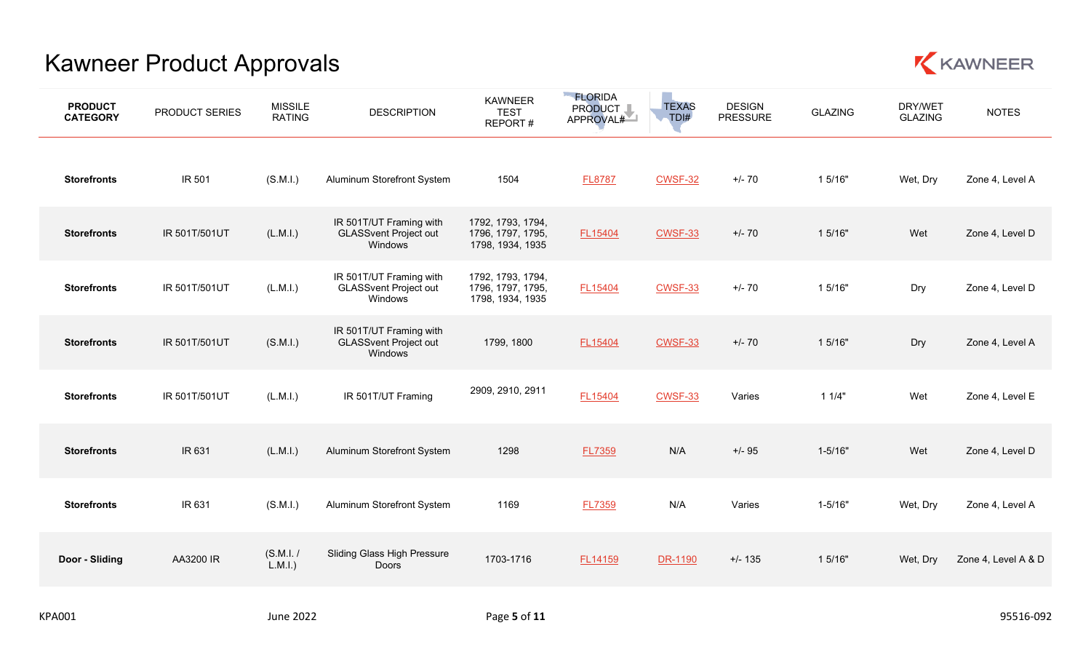

| <b>PRODUCT</b><br><b>CATEGORY</b> | PRODUCT SERIES | <b>MISSILE</b><br><b>RATING</b> | <b>DESCRIPTION</b>                                                 | <b>KAWNEER</b><br><b>TEST</b><br>REPORT#                   | <b>FLORIDA</b><br>PRODUCT I<br>APPROVAL# | <b>TEXAS</b><br>TDI# | <b>DESIGN</b><br><b>PRESSURE</b> | <b>GLAZING</b> | DRY/WET<br><b>GLAZING</b> | <b>NOTES</b>        |
|-----------------------------------|----------------|---------------------------------|--------------------------------------------------------------------|------------------------------------------------------------|------------------------------------------|----------------------|----------------------------------|----------------|---------------------------|---------------------|
| <b>Storefronts</b>                | IR 501         | (S.M.I.)                        | Aluminum Storefront System                                         | 1504                                                       | <b>FL8787</b>                            | <b>CWSF-32</b>       | $+/- 70$                         | 1 5/16"        | Wet, Dry                  | Zone 4, Level A     |
| <b>Storefronts</b>                | IR 501T/501UT  | (L.M.l.)                        | IR 501T/UT Framing with<br><b>GLASSvent Project out</b><br>Windows | 1792, 1793, 1794,<br>1796, 1797, 1795,<br>1798, 1934, 1935 | FL15404                                  | <b>CWSF-33</b>       | $+/- 70$                         | 1 5/16"        | Wet                       | Zone 4, Level D     |
| <b>Storefronts</b>                | IR 501T/501UT  | (L.M.I.)                        | IR 501T/UT Framing with<br><b>GLASSvent Project out</b><br>Windows | 1792, 1793, 1794,<br>1796, 1797, 1795,<br>1798, 1934, 1935 | FL15404                                  | <b>CWSF-33</b>       | $+/- 70$                         | 1 5/16"        | Dry                       | Zone 4, Level D     |
| <b>Storefronts</b>                | IR 501T/501UT  | (S.M.I.)                        | IR 501T/UT Framing with<br><b>GLASSvent Project out</b><br>Windows | 1799, 1800                                                 | FL15404                                  | CWSF-33              | $+/- 70$                         | 1 5/16"        | Dry                       | Zone 4, Level A     |
| <b>Storefronts</b>                | IR 501T/501UT  | (L.M.l.)                        | IR 501T/UT Framing                                                 | 2909, 2910, 2911                                           | FL15404                                  | <b>CWSF-33</b>       | Varies                           | 11/4"          | Wet                       | Zone 4, Level E     |
| <b>Storefronts</b>                | IR 631         | (L.M.1.)                        | Aluminum Storefront System                                         | 1298                                                       | FL7359                                   | N/A                  | $+/- 95$                         | $1 - 5/16"$    | Wet                       | Zone 4, Level D     |
| <b>Storefronts</b>                | IR 631         | (S.M.I.)                        | Aluminum Storefront System                                         | 1169                                                       | <b>FL7359</b>                            | N/A                  | Varies                           | $1 - 5/16"$    | Wet, Dry                  | Zone 4, Level A     |
| Door - Sliding                    | AA3200 IR      | (S.M.I. /<br>$L.M.I.$ )         | Sliding Glass High Pressure<br>Doors                               | 1703-1716                                                  | FL14159                                  | DR-1190              | $+/- 135$                        | 1 5/16"        | Wet, Dry                  | Zone 4, Level A & D |
|                                   |                |                                 |                                                                    |                                                            |                                          |                      |                                  |                |                           |                     |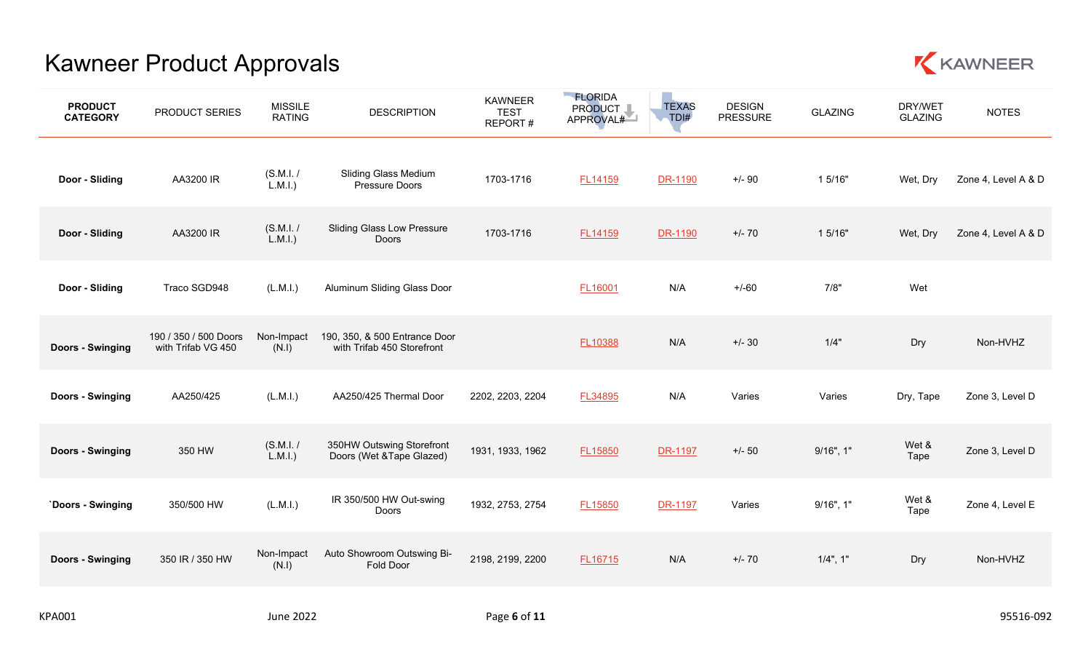

| <b>PRODUCT</b><br><b>CATEGORY</b> | PRODUCT SERIES                              | <b>MISSILE</b><br><b>RATING</b> | <b>DESCRIPTION</b>                                          | KAWNEER<br><b>TEST</b><br>REPORT# | <b>ELORIDA</b><br>PRODUCT I<br>APPROVAL# | <b>TEXAS</b><br>TDI# | <b>DESIGN</b><br><b>PRESSURE</b> | <b>GLAZING</b> | DRY/WET<br><b>GLAZING</b> | <b>NOTES</b>        |
|-----------------------------------|---------------------------------------------|---------------------------------|-------------------------------------------------------------|-----------------------------------|------------------------------------------|----------------------|----------------------------------|----------------|---------------------------|---------------------|
| Door - Sliding                    | AA3200 IR                                   | (S.M.I. /<br>$\tilde{L}$ .M.I.) | <b>Sliding Glass Medium</b><br>Pressure Doors               | 1703-1716                         | FL14159                                  | DR-1190              | $+/- 90$                         | 1 5/16"        | Wet, Dry                  | Zone 4, Level A & D |
| Door - Sliding                    | AA3200 IR                                   | (S.M.I. /<br>$L.M.I.$ )         | <b>Sliding Glass Low Pressure</b><br><b>Doors</b>           | 1703-1716                         | FL14159                                  | DR-1190              | $+/- 70$                         | 1 5/16"        | Wet, Dry                  | Zone 4, Level A & D |
| Door - Sliding                    | Traco SGD948                                | (L.M.1.)                        | Aluminum Sliding Glass Door                                 |                                   | FL16001                                  | N/A                  | $+/-60$                          | 7/8"           | Wet                       |                     |
| <b>Doors - Swinging</b>           | 190 / 350 / 500 Doors<br>with Trifab VG 450 | Non-Impact<br>(N.1)             | 190, 350, & 500 Entrance Door<br>with Trifab 450 Storefront |                                   | FL10388                                  | N/A                  | $+/- 30$                         | 1/4"           | Dry                       | Non-HVHZ            |
| <b>Doors - Swinging</b>           | AA250/425                                   | (L.M.I.)                        | AA250/425 Thermal Door                                      | 2202, 2203, 2204                  | FL34895                                  | N/A                  | Varies                           | Varies         | Dry, Tape                 | Zone 3, Level D     |
| <b>Doors - Swinging</b>           | 350 HW                                      | (S.M.I. /<br>$L.M.I.$ )         | 350HW Outswing Storefront<br>Doors (Wet &Tape Glazed)       | 1931, 1933, 1962                  | FL15850                                  | <b>DR-1197</b>       | $+/- 50$                         | $9/16$ ", 1"   | Wet &<br>Tape             | Zone 3, Level D     |
| `Doors - Swinging                 | 350/500 HW                                  | (L.M.1.)                        | IR 350/500 HW Out-swing<br><b>Doors</b>                     | 1932, 2753, 2754                  | FL15850                                  | DR-1197              | Varies                           | $9/16$ ", 1"   | Wet &<br>Tape             | Zone 4, Level E     |
| <b>Doors - Swinging</b>           | 350 IR / 350 HW                             | Non-Impact<br>(N.1)             | Auto Showroom Outswing Bi-<br>Fold Door                     | 2198, 2199, 2200                  | FL16715                                  | N/A                  | $+/- 70$                         | $1/4$ ", 1"    | Dry                       | Non-HVHZ            |
|                                   |                                             |                                 |                                                             |                                   |                                          |                      |                                  |                |                           |                     |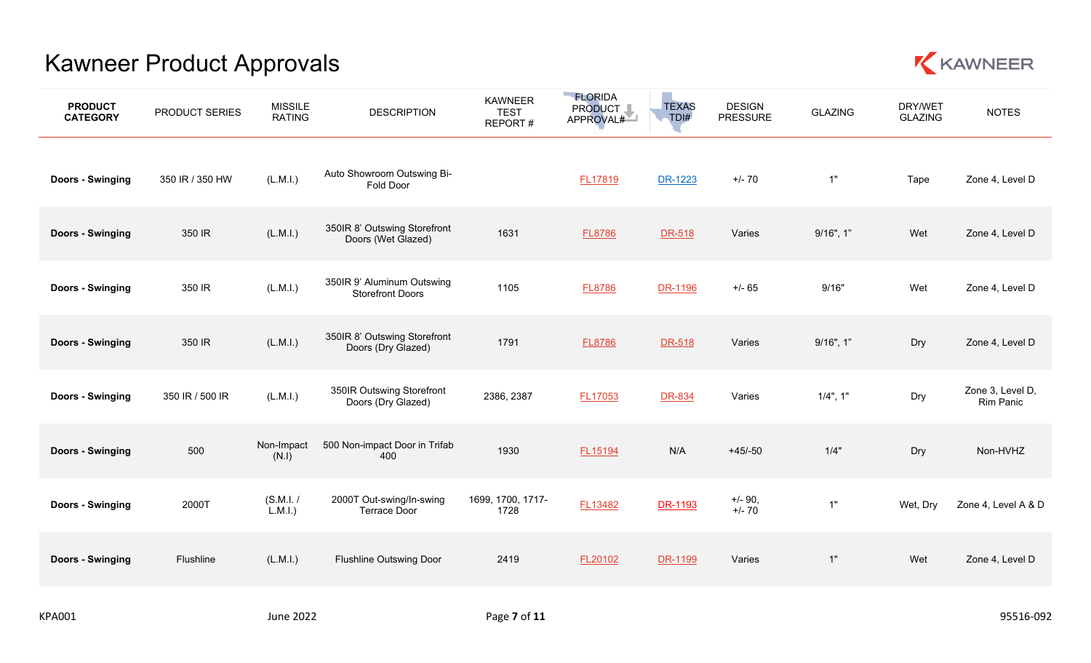

| <b>PRODUCT</b><br><b>CATEGORY</b> | PRODUCT SERIES  | <b>MISSILE</b><br><b>RATING</b> | <b>DESCRIPTION</b>                                    | <b>KAWNEER</b><br><b>TEST</b><br>REPORT# | <b>FLORIDA</b><br>PRODUCT I<br>APPROVAL# | <b>TEXAS</b><br>TDI# | <b>DESIGN</b><br><b>PRESSURE</b> | <b>GLAZING</b> | DRY/WET<br><b>GLAZING</b> | <b>NOTES</b>                  |
|-----------------------------------|-----------------|---------------------------------|-------------------------------------------------------|------------------------------------------|------------------------------------------|----------------------|----------------------------------|----------------|---------------------------|-------------------------------|
| Doors - Swinging                  | 350 IR / 350 HW | (L.M.1.)                        | Auto Showroom Outswing Bi-<br>Fold Door               |                                          | <b>FL17819</b>                           | DR-1223              | $+/- 70$                         | 1"             | Tape                      | Zone 4, Level D               |
| <b>Doors - Swinging</b>           | 350 IR          | (L.M.l.)                        | 350IR 8' Outswing Storefront<br>Doors (Wet Glazed)    | 1631                                     | <b>FL8786</b>                            | DR-518               | Varies                           | $9/16$ ", 1"   | Wet                       | Zone 4, Level D               |
| <b>Doors - Swinging</b>           | 350 IR          | (L.M.1.)                        | 350IR 9' Aluminum Outswing<br><b>Storefront Doors</b> | 1105                                     | <b>FL8786</b>                            | DR-1196              | $+/- 65$                         | 9/16"          | Wet                       | Zone 4, Level D               |
| <b>Doors - Swinging</b>           | 350 IR          | (L.M.l.)                        | 350IR 8' Outswing Storefront<br>Doors (Dry Glazed)    | 1791                                     | <b>FL8786</b>                            | DR-518               | Varies                           | $9/16$ ", 1"   | Dry                       | Zone 4, Level D               |
| Doors - Swinging                  | 350 IR / 500 IR | (L.M.1.)                        | 350IR Outswing Storefront<br>Doors (Dry Glazed)       | 2386, 2387                               | <b>FL17053</b>                           | DR-834               | Varies                           | $1/4$ ", 1"    | Dry                       | Zone 3, Level D,<br>Rim Panic |
| Doors - Swinging                  | 500             | Non-Impact<br>(N.1)             | 500 Non-impact Door in Trifab<br>400                  | 1930                                     | FL15194                                  | N/A                  | $+45/-50$                        | 1/4"           | Dry                       | Non-HVHZ                      |
| Doors - Swinging                  | 2000T           | (S.M.I. /<br>$L.M.I.$ )         | 2000T Out-swing/In-swing<br><b>Terrace Door</b>       | 1699, 1700, 1717-<br>1728                | FL13482                                  | DR-1193              | $+/- 90,$<br>$+/- 70$            | 1"             | Wet, Dry                  | Zone 4, Level A & D           |
| <b>Doors - Swinging</b>           | Flushline       | (L.M.1.)                        | <b>Flushline Outswing Door</b>                        | 2419                                     | FL20102                                  | DR-1199              | Varies                           | 1"             | Wet                       | Zone 4, Level D               |
|                                   |                 |                                 |                                                       |                                          |                                          |                      |                                  |                |                           |                               |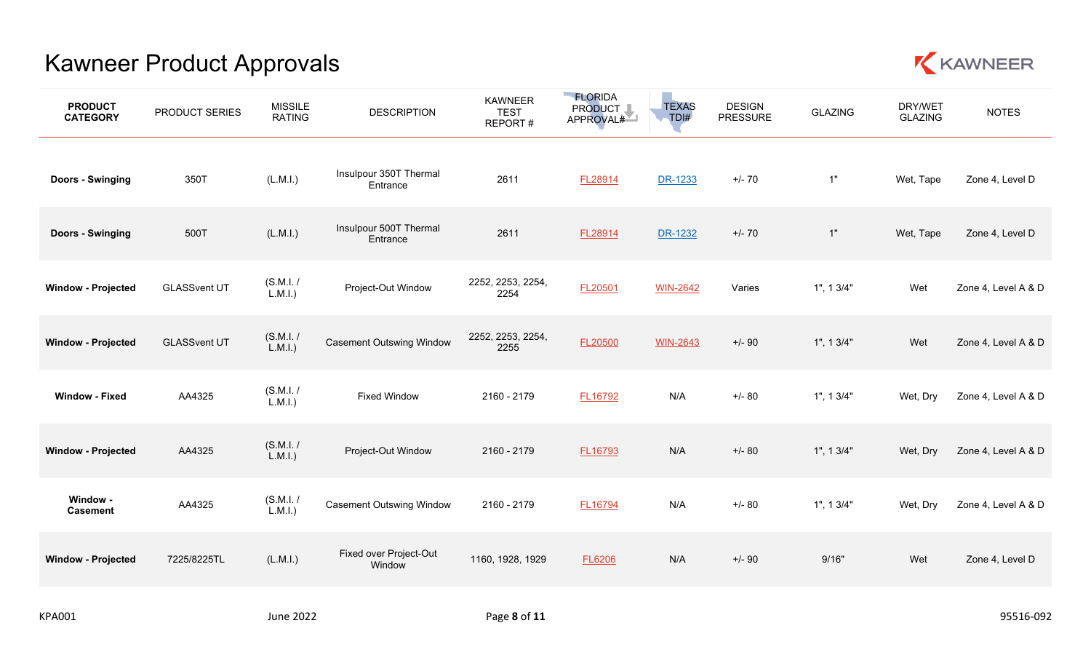

| <b>PRODUCT</b><br><b>CATEGORY</b> | PRODUCT SERIES      | <b>MISSILE</b><br><b>RATING</b> | <b>DESCRIPTION</b>                 | <b>KAWNEER</b><br><b>TEST</b><br>REPORT# | <b>ELORIDA</b><br>PRODUCT I<br>APPROVAL# | <b>TEXAS</b><br>TDI# | <b>DESIGN</b><br><b>PRESSURE</b> | <b>GLAZING</b> | DRY/WET<br><b>GLAZING</b> | <b>NOTES</b>        |
|-----------------------------------|---------------------|---------------------------------|------------------------------------|------------------------------------------|------------------------------------------|----------------------|----------------------------------|----------------|---------------------------|---------------------|
| Doors - Swinging                  | 350T                | (L.M.I.)                        | Insulpour 350T Thermal<br>Entrance | 2611                                     | FL28914                                  | DR-1233              | $+/- 70$                         | 1"             | Wet, Tape                 | Zone 4, Level D     |
| Doors - Swinging                  | 500T                | (L.M.I.)                        | Insulpour 500T Thermal<br>Entrance | 2611                                     | FL28914                                  | DR-1232              | $+/- 70$                         | 1"             | Wet, Tape                 | Zone 4, Level D     |
| <b>Window - Projected</b>         | <b>GLASSvent UT</b> | (S.M.I. /<br>$L.M.I.$ )         | Project-Out Window                 | 2252, 2253, 2254,<br>2254                | FL20501                                  | <b>WIN-2642</b>      | Varies                           | 1", 13/4"      | Wet                       | Zone 4, Level A & D |
| <b>Window - Projected</b>         | <b>GLASSvent UT</b> | (S.M.I. /<br>$L.M.I.$ )         | <b>Casement Outswing Window</b>    | 2252, 2253, 2254,<br>2255                | FL20500                                  | <b>WIN-2643</b>      | $+/-90$                          | 1", 13/4"      | Wet                       | Zone 4, Level A & D |
| <b>Window - Fixed</b>             | AA4325              | (S.M.I. /<br>(L.M.1.)           | <b>Fixed Window</b>                | 2160 - 2179                              | FL16792                                  | N/A                  | $+/- 80$                         | 1", 13/4"      | Wet, Dry                  | Zone 4, Level A & D |
| <b>Window - Projected</b>         | AA4325              | (S.M.I. /<br>$L.M.I.$ )         | Project-Out Window                 | 2160 - 2179                              | FL16793                                  | N/A                  | $+/- 80$                         | 1", 13/4"      | Wet, Dry                  | Zone 4, Level A & D |
| Window -<br><b>Casement</b>       | AA4325              | (S.M.I. /<br>$L.M.I.$ )         | <b>Casement Outswing Window</b>    | 2160 - 2179                              | FL16794                                  | N/A                  | $+/- 80$                         | 1", 13/4"      | Wet, Dry                  | Zone 4, Level A & D |
| <b>Window - Projected</b>         | 7225/8225TL         | (L.M.I.)                        | Fixed over Project-Out<br>Window   | 1160, 1928, 1929                         | <b>FL6206</b>                            | N/A                  | $+/-90$                          | 9/16"          | Wet                       | Zone 4, Level D     |
|                                   |                     |                                 |                                    |                                          |                                          |                      |                                  |                |                           |                     |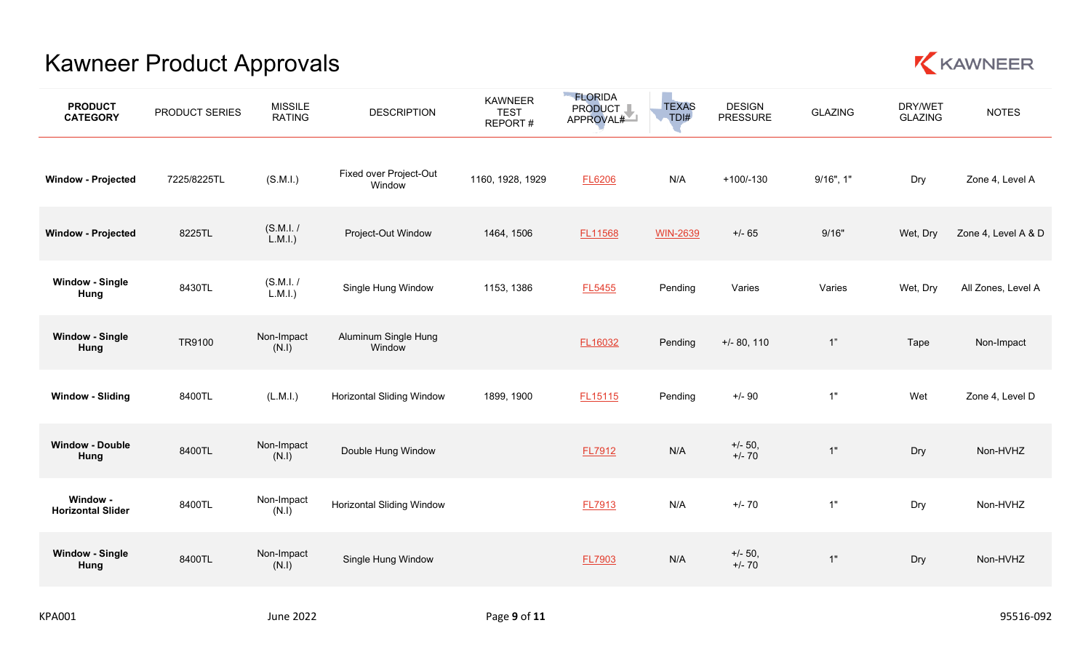

| <b>PRODUCT</b><br><b>CATEGORY</b>    | PRODUCT SERIES | <b>MISSILE</b><br><b>RATING</b> | <b>DESCRIPTION</b>               | <b>KAWNEER</b><br><b>TEST</b><br>REPORT# | <b>ELORIDA</b><br>PRODUCT I<br>APPROVAL# | <b>TEXAS</b><br>TDI# | <b>DESIGN</b><br><b>PRESSURE</b> | <b>GLAZING</b> | DRY/WET<br><b>GLAZING</b> | <b>NOTES</b>        |
|--------------------------------------|----------------|---------------------------------|----------------------------------|------------------------------------------|------------------------------------------|----------------------|----------------------------------|----------------|---------------------------|---------------------|
| <b>Window - Projected</b>            | 7225/8225TL    | (S.M.l.)                        | Fixed over Project-Out<br>Window | 1160, 1928, 1929                         | <b>FL6206</b>                            | N/A                  | $+100/-130$                      | $9/16$ ", 1"   | Dry                       | Zone 4, Level A     |
| <b>Window - Projected</b>            | 8225TL         | (S.M.I. /<br>$L.M.I.$ )         | Project-Out Window               | 1464, 1506                               | FL11568                                  | <b>WIN-2639</b>      | $+/- 65$                         | 9/16"          | Wet, Dry                  | Zone 4, Level A & D |
| <b>Window - Single</b><br>Hung       | 8430TL         | (S.M.I. /<br>$L.M.I.$ )         | Single Hung Window               | 1153, 1386                               | FL5455                                   | Pending              | Varies                           | Varies         | Wet, Dry                  | All Zones, Level A  |
| <b>Window - Single</b><br>Hung       | TR9100         | Non-Impact<br>(N.I)             | Aluminum Single Hung<br>Window   |                                          | FL16032                                  | Pending              | $+/- 80, 110$                    | 1"             | Tape                      | Non-Impact          |
| <b>Window - Sliding</b>              | 8400TL         | (L.M.1.)                        | <b>Horizontal Sliding Window</b> | 1899, 1900                               | FL15115                                  | Pending              | $+/-90$                          | 1"             | Wet                       | Zone 4, Level D     |
| <b>Window - Double</b><br>Hung       | 8400TL         | Non-Impact<br>(N.I)             | Double Hung Window               |                                          | FL7912                                   | N/A                  | $+/- 50,$<br>$+/- 70$            | 1"             | Dry                       | Non-HVHZ            |
| Window -<br><b>Horizontal Slider</b> | 8400TL         | Non-Impact<br>(N.1)             | <b>Horizontal Sliding Window</b> |                                          | <b>FL7913</b>                            | N/A                  | $+/- 70$                         | 1"             | Dry                       | Non-HVHZ            |
| <b>Window - Single</b><br>Hung       | 8400TL         | Non-Impact<br>(N.1)             | Single Hung Window               |                                          | FL7903                                   | N/A                  | $+/- 50,$<br>$+/- 70$            | $1"$           | Dry                       | Non-HVHZ            |
|                                      |                |                                 |                                  |                                          |                                          |                      |                                  |                |                           |                     |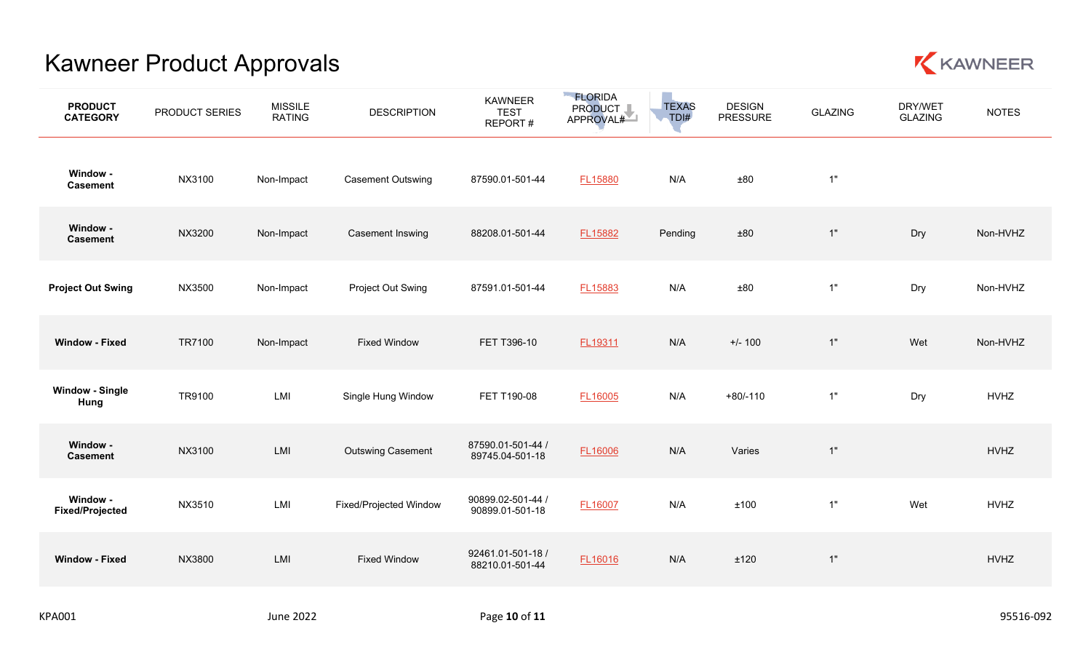

| <b>PRODUCT</b><br><b>CATEGORY</b>  | PRODUCT SERIES | <b>MISSILE</b><br><b>RATING</b> | <b>DESCRIPTION</b>            | <b>KAWNEER</b><br><b>TEST</b><br>REPORT# | <b>FLORIDA</b><br>PRODUCT I<br>APPROVAL# | <b>TEXAS</b><br>TDI# | <b>DESIGN</b><br><b>PRESSURE</b> | <b>GLAZING</b> | DRY/WET<br><b>GLAZING</b> | <b>NOTES</b> |
|------------------------------------|----------------|---------------------------------|-------------------------------|------------------------------------------|------------------------------------------|----------------------|----------------------------------|----------------|---------------------------|--------------|
| Window -<br><b>Casement</b>        | NX3100         | Non-Impact                      | <b>Casement Outswing</b>      | 87590.01-501-44                          | FL15880                                  | N/A                  | ±80                              | 1"             |                           |              |
| Window -<br><b>Casement</b>        | NX3200         | Non-Impact                      | Casement Inswing              | 88208.01-501-44                          | FL15882                                  | Pending              | ±80                              | 1"             | Dry                       | Non-HVHZ     |
| <b>Project Out Swing</b>           | NX3500         | Non-Impact                      | Project Out Swing             | 87591.01-501-44                          | FL15883                                  | N/A                  | ±80                              | 1"             | Dry                       | Non-HVHZ     |
| <b>Window - Fixed</b>              | TR7100         | Non-Impact                      | <b>Fixed Window</b>           | FET T396-10                              | FL19311                                  | N/A                  | $+/- 100$                        | 1"             | Wet                       | Non-HVHZ     |
| <b>Window - Single</b><br>Hung     | TR9100         | LMI                             | Single Hung Window            | FET T190-08                              | FL16005                                  | N/A                  | $+80/-110$                       | 1"             | Dry                       | <b>HVHZ</b>  |
| Window -<br><b>Casement</b>        | NX3100         | LMI                             | <b>Outswing Casement</b>      | 87590.01-501-44 /<br>89745.04-501-18     | FL16006                                  | N/A                  | Varies                           | 1"             |                           | <b>HVHZ</b>  |
| Window -<br><b>Fixed/Projected</b> | NX3510         | LMI                             | <b>Fixed/Projected Window</b> | 90899.02-501-44 /<br>90899.01-501-18     | FL16007                                  | N/A                  | ±100                             | $1"$           | Wet                       | <b>HVHZ</b>  |
| <b>Window - Fixed</b>              | NX3800         | LMI                             | <b>Fixed Window</b>           | 92461.01-501-18 /<br>88210.01-501-44     | FL16016                                  | N/A                  | ±120                             | 1"             |                           | <b>HVHZ</b>  |
|                                    |                |                                 |                               |                                          |                                          |                      |                                  |                |                           |              |